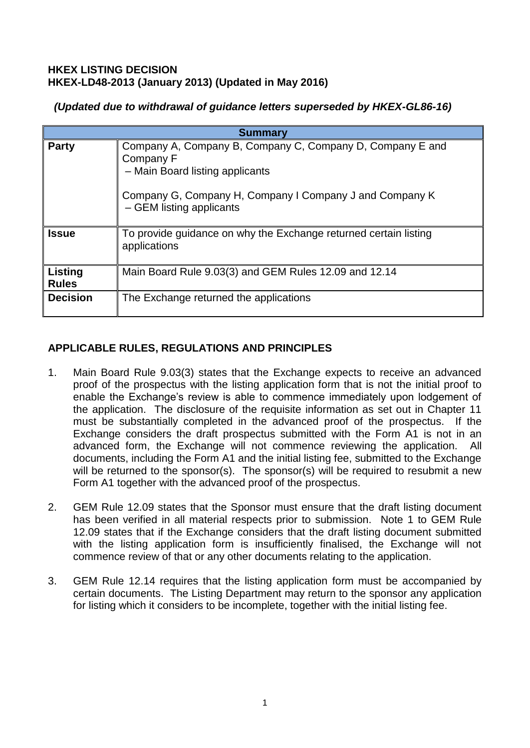### **HKEX LISTING DECISION HKEX-LD48-2013 (January 2013) (Updated in May 2016)**

# *(Updated due to withdrawal of guidance letters superseded by HKEX-GL86-16)*

| <b>Summary</b>          |                                                                                                                                                                                                  |
|-------------------------|--------------------------------------------------------------------------------------------------------------------------------------------------------------------------------------------------|
| <b>Party</b>            | Company A, Company B, Company C, Company D, Company E and<br>Company F<br>- Main Board listing applicants<br>Company G, Company H, Company I Company J and Company K<br>- GEM listing applicants |
| <b>Issue</b>            | To provide guidance on why the Exchange returned certain listing<br>applications                                                                                                                 |
| Listing<br><b>Rules</b> | Main Board Rule 9.03(3) and GEM Rules 12.09 and 12.14                                                                                                                                            |
| <b>Decision</b>         | The Exchange returned the applications                                                                                                                                                           |

# **APPLICABLE RULES, REGULATIONS AND PRINCIPLES**

- 1. Main Board Rule 9.03(3) states that the Exchange expects to receive an advanced proof of the prospectus with the listing application form that is not the initial proof to enable the Exchange's review is able to commence immediately upon lodgement of the application. The disclosure of the requisite information as set out in Chapter 11 must be substantially completed in the advanced proof of the prospectus. If the Exchange considers the draft prospectus submitted with the Form A1 is not in an advanced form, the Exchange will not commence reviewing the application. All documents, including the Form A1 and the initial listing fee, submitted to the Exchange will be returned to the sponsor(s). The sponsor(s) will be required to resubmit a new Form A1 together with the advanced proof of the prospectus.
- 2. GEM Rule 12.09 states that the Sponsor must ensure that the draft listing document has been verified in all material respects prior to submission. Note 1 to GEM Rule 12.09 states that if the Exchange considers that the draft listing document submitted with the listing application form is insufficiently finalised, the Exchange will not commence review of that or any other documents relating to the application.
- 3. GEM Rule 12.14 requires that the listing application form must be accompanied by certain documents. The Listing Department may return to the sponsor any application for listing which it considers to be incomplete, together with the initial listing fee.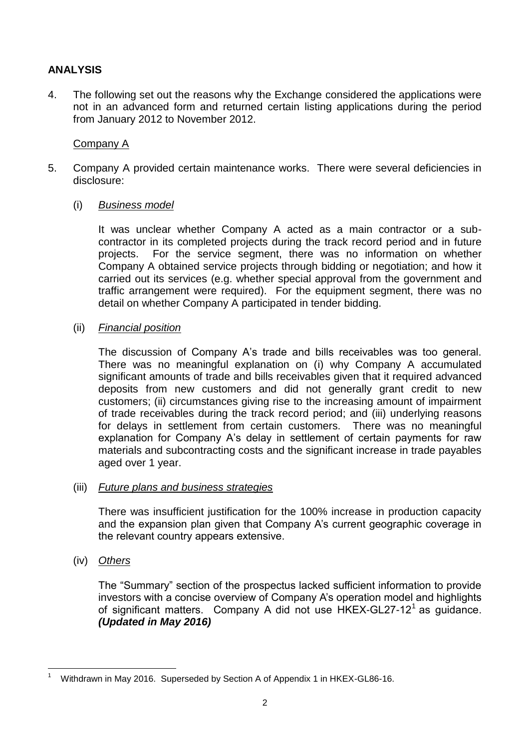# **ANALYSIS**

4. The following set out the reasons why the Exchange considered the applications were not in an advanced form and returned certain listing applications during the period from January 2012 to November 2012.

## Company A

- 5. Company A provided certain maintenance works. There were several deficiencies in disclosure:
	- (i) *Business model*

It was unclear whether Company A acted as a main contractor or a subcontractor in its completed projects during the track record period and in future projects. For the service segment, there was no information on whether Company A obtained service projects through bidding or negotiation; and how it carried out its services (e.g. whether special approval from the government and traffic arrangement were required). For the equipment segment, there was no detail on whether Company A participated in tender bidding.

(ii) *Financial position*

The discussion of Company A's trade and bills receivables was too general. There was no meaningful explanation on (i) why Company A accumulated significant amounts of trade and bills receivables given that it required advanced deposits from new customers and did not generally grant credit to new customers; (ii) circumstances giving rise to the increasing amount of impairment of trade receivables during the track record period; and (iii) underlying reasons for delays in settlement from certain customers. There was no meaningful explanation for Company A's delay in settlement of certain payments for raw materials and subcontracting costs and the significant increase in trade payables aged over 1 year.

### (iii) *Future plans and business strategies*

There was insufficient justification for the 100% increase in production capacity and the expansion plan given that Company A's current geographic coverage in the relevant country appears extensive.

(iv) *Others*

The "Summary" section of the prospectus lacked sufficient information to provide investors with a concise overview of Company A's operation model and highlights of significant matters. Company A did not use HKEX-GL27-12<sup>1</sup> as guidance. *(Updated in May 2016)*

<sup>1</sup> <sup>1</sup> Withdrawn in May 2016. Superseded by Section A of Appendix 1 in HKEX-GL86-16.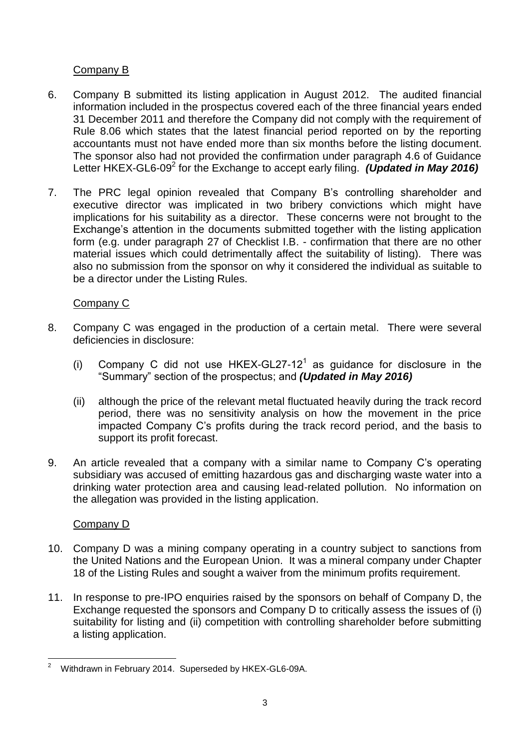# Company B

- 6. Company B submitted its listing application in August 2012. The audited financial information included in the prospectus covered each of the three financial years ended 31 December 2011 and therefore the Company did not comply with the requirement of Rule 8.06 which states that the latest financial period reported on by the reporting accountants must not have ended more than six months before the listing document. The sponsor also had not provided the confirmation under paragraph 4.6 of Guidance Letter HKEX-GL6-09<sup>2</sup> for the Exchange to accept early filing. *(Updated in May 2016)*
- 7. The PRC legal opinion revealed that Company B's controlling shareholder and executive director was implicated in two bribery convictions which might have implications for his suitability as a director. These concerns were not brought to the Exchange's attention in the documents submitted together with the listing application form (e.g. under paragraph 27 of Checklist I.B. - confirmation that there are no other material issues which could detrimentally affect the suitability of listing). There was also no submission from the sponsor on why it considered the individual as suitable to be a director under the Listing Rules.

## Company C

- 8. Company C was engaged in the production of a certain metal. There were several deficiencies in disclosure:
	- (i) Company C did not use  $HKEX-GL27-12<sup>1</sup>$  as guidance for disclosure in the "Summary" section of the prospectus; and *(Updated in May 2016)*
	- (ii) although the price of the relevant metal fluctuated heavily during the track record period, there was no sensitivity analysis on how the movement in the price impacted Company C's profits during the track record period, and the basis to support its profit forecast.
- 9. An article revealed that a company with a similar name to Company C's operating subsidiary was accused of emitting hazardous gas and discharging waste water into a drinking water protection area and causing lead-related pollution. No information on the allegation was provided in the listing application.

## Company D

- 10. Company D was a mining company operating in a country subject to sanctions from the United Nations and the European Union. It was a mineral company under Chapter 18 of the Listing Rules and sought a waiver from the minimum profits requirement.
- 11. In response to pre-IPO enquiries raised by the sponsors on behalf of Company D, the Exchange requested the sponsors and Company D to critically assess the issues of (i) suitability for listing and (ii) competition with controlling shareholder before submitting a listing application.

<sup>1</sup> <sup>2</sup> Withdrawn in February 2014. Superseded by HKEX-GL6-09A.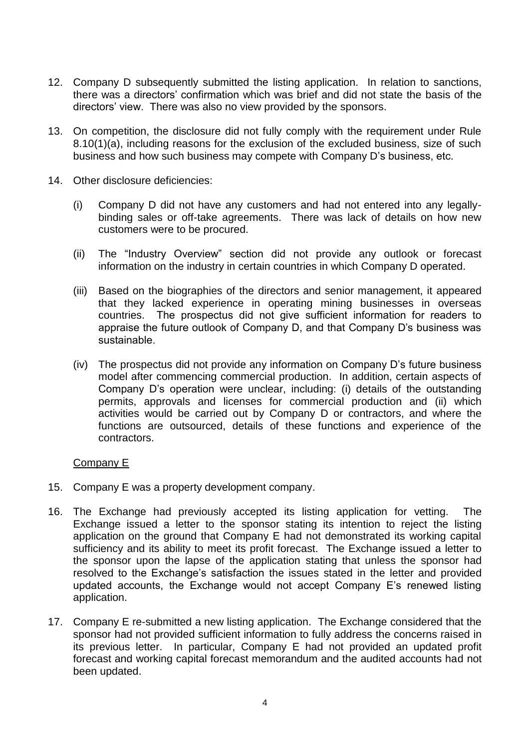- 12. Company D subsequently submitted the listing application. In relation to sanctions, there was a directors' confirmation which was brief and did not state the basis of the directors' view. There was also no view provided by the sponsors.
- 13. On competition, the disclosure did not fully comply with the requirement under Rule 8.10(1)(a), including reasons for the exclusion of the excluded business, size of such business and how such business may compete with Company D's business, etc.
- 14. Other disclosure deficiencies:
	- (i) Company D did not have any customers and had not entered into any legallybinding sales or off-take agreements. There was lack of details on how new customers were to be procured.
	- (ii) The "Industry Overview" section did not provide any outlook or forecast information on the industry in certain countries in which Company D operated.
	- (iii) Based on the biographies of the directors and senior management, it appeared that they lacked experience in operating mining businesses in overseas countries. The prospectus did not give sufficient information for readers to appraise the future outlook of Company D, and that Company D's business was sustainable.
	- (iv) The prospectus did not provide any information on Company D's future business model after commencing commercial production. In addition, certain aspects of Company D's operation were unclear, including: (i) details of the outstanding permits, approvals and licenses for commercial production and (ii) which activities would be carried out by Company D or contractors, and where the functions are outsourced, details of these functions and experience of the contractors.

### Company E

- 15. Company E was a property development company.
- 16. The Exchange had previously accepted its listing application for vetting. The Exchange issued a letter to the sponsor stating its intention to reject the listing application on the ground that Company E had not demonstrated its working capital sufficiency and its ability to meet its profit forecast. The Exchange issued a letter to the sponsor upon the lapse of the application stating that unless the sponsor had resolved to the Exchange's satisfaction the issues stated in the letter and provided updated accounts, the Exchange would not accept Company E's renewed listing application.
- 17. Company E re-submitted a new listing application. The Exchange considered that the sponsor had not provided sufficient information to fully address the concerns raised in its previous letter. In particular, Company E had not provided an updated profit forecast and working capital forecast memorandum and the audited accounts had not been updated.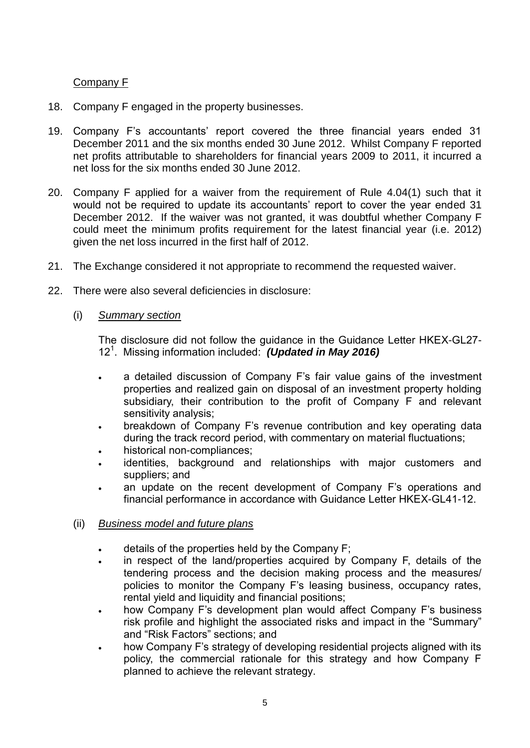### Company F

- 18. Company F engaged in the property businesses.
- 19. Company F's accountants' report covered the three financial years ended 31 December 2011 and the six months ended 30 June 2012. Whilst Company F reported net profits attributable to shareholders for financial years 2009 to 2011, it incurred a net loss for the six months ended 30 June 2012.
- 20. Company F applied for a waiver from the requirement of Rule 4.04(1) such that it would not be required to update its accountants' report to cover the year ended 31 December 2012. If the waiver was not granted, it was doubtful whether Company F could meet the minimum profits requirement for the latest financial year (i.e. 2012) given the net loss incurred in the first half of 2012.
- 21. The Exchange considered it not appropriate to recommend the requested waiver.
- 22. There were also several deficiencies in disclosure:
	- (i) *Summary section*

The disclosure did not follow the guidance in the Guidance Letter HKEX-GL27- 12<sup>1</sup> . Missing information included: *(Updated in May 2016)*

- a detailed discussion of Company F's fair value gains of the investment properties and realized gain on disposal of an investment property holding subsidiary, their contribution to the profit of Company F and relevant sensitivity analysis;
- breakdown of Company F's revenue contribution and key operating data during the track record period, with commentary on material fluctuations;
- historical non-compliances;
- identities, background and relationships with major customers and suppliers; and
- an update on the recent development of Company F's operations and financial performance in accordance with Guidance Letter HKEX-GL41-12.

### (ii) *Business model and future plans*

- details of the properties held by the Company F;
- in respect of the land/properties acquired by Company F, details of the tendering process and the decision making process and the measures/ policies to monitor the Company F's leasing business, occupancy rates, rental yield and liquidity and financial positions;
- how Company F's development plan would affect Company F's business risk profile and highlight the associated risks and impact in the "Summary" and "Risk Factors" sections; and
- how Company F's strategy of developing residential projects aligned with its policy, the commercial rationale for this strategy and how Company F planned to achieve the relevant strategy.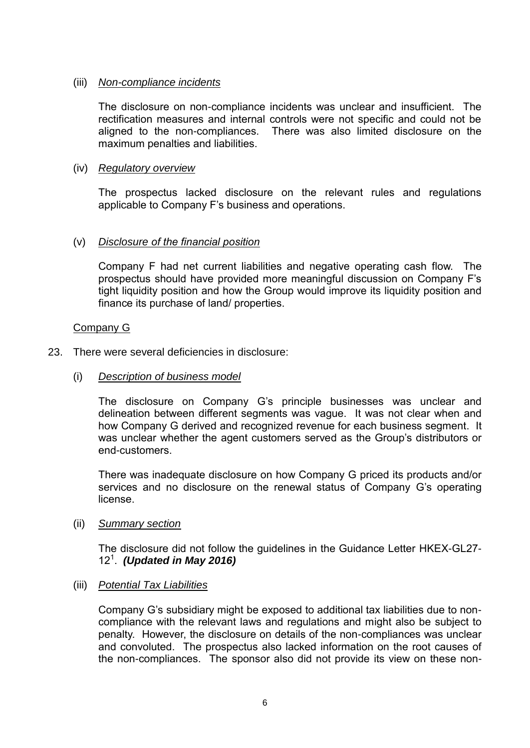### (iii) *Non-compliance incidents*

The disclosure on non-compliance incidents was unclear and insufficient. The rectification measures and internal controls were not specific and could not be aligned to the non-compliances. There was also limited disclosure on the maximum penalties and liabilities.

### (iv) *Regulatory overview*

The prospectus lacked disclosure on the relevant rules and regulations applicable to Company F's business and operations.

## (v) *Disclosure of the financial position*

Company F had net current liabilities and negative operating cash flow. The prospectus should have provided more meaningful discussion on Company F's tight liquidity position and how the Group would improve its liquidity position and finance its purchase of land/ properties.

### Company G

23. There were several deficiencies in disclosure:

### (i) *Description of business model*

The disclosure on Company G's principle businesses was unclear and delineation between different segments was vague. It was not clear when and how Company G derived and recognized revenue for each business segment. It was unclear whether the agent customers served as the Group's distributors or end-customers.

There was inadequate disclosure on how Company G priced its products and/or services and no disclosure on the renewal status of Company G's operating license.

### (ii) *Summary section*

The disclosure did not follow the guidelines in the Guidance Letter HKEX-GL27- 12<sup>1</sup> . *(Updated in May 2016)*

### (iii) *Potential Tax Liabilities*

Company G's subsidiary might be exposed to additional tax liabilities due to noncompliance with the relevant laws and regulations and might also be subject to penalty. However, the disclosure on details of the non-compliances was unclear and convoluted. The prospectus also lacked information on the root causes of the non-compliances. The sponsor also did not provide its view on these non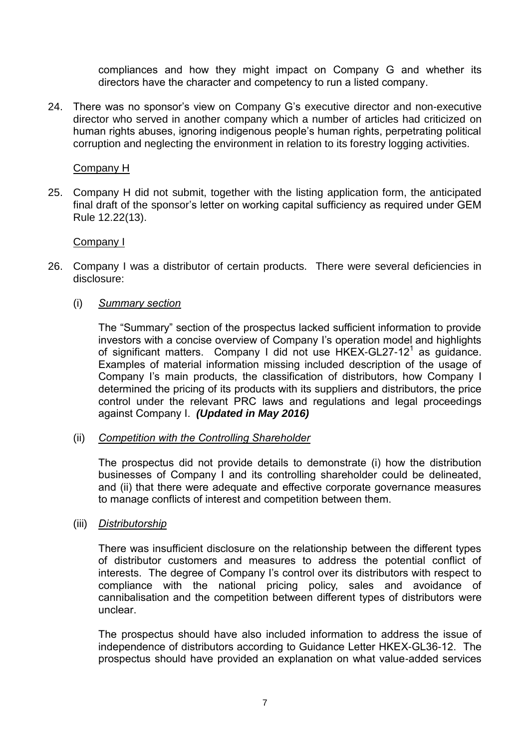compliances and how they might impact on Company G and whether its directors have the character and competency to run a listed company.

24. There was no sponsor's view on Company G's executive director and non-executive director who served in another company which a number of articles had criticized on human rights abuses, ignoring indigenous people's human rights, perpetrating political corruption and neglecting the environment in relation to its forestry logging activities.

### Company H

25. Company H did not submit, together with the listing application form, the anticipated final draft of the sponsor's letter on working capital sufficiency as required under GEM Rule 12.22(13).

### Company I

- 26. Company I was a distributor of certain products. There were several deficiencies in disclosure:
	- (i) *Summary section*

The "Summary" section of the prospectus lacked sufficient information to provide investors with a concise overview of Company I's operation model and highlights of significant matters. Company I did not use HKEX-GL27-12<sup>1</sup> as guidance. Examples of material information missing included description of the usage of Company I's main products, the classification of distributors, how Company I determined the pricing of its products with its suppliers and distributors, the price control under the relevant PRC laws and regulations and legal proceedings against Company I. *(Updated in May 2016)*

### (ii) *Competition with the Controlling Shareholder*

The prospectus did not provide details to demonstrate (i) how the distribution businesses of Company I and its controlling shareholder could be delineated, and (ii) that there were adequate and effective corporate governance measures to manage conflicts of interest and competition between them.

(iii) *Distributorship*

There was insufficient disclosure on the relationship between the different types of distributor customers and measures to address the potential conflict of interests. The degree of Company I's control over its distributors with respect to compliance with the national pricing policy, sales and avoidance of cannibalisation and the competition between different types of distributors were unclear.

The prospectus should have also included information to address the issue of independence of distributors according to Guidance Letter HKEX-GL36-12. The prospectus should have provided an explanation on what value-added services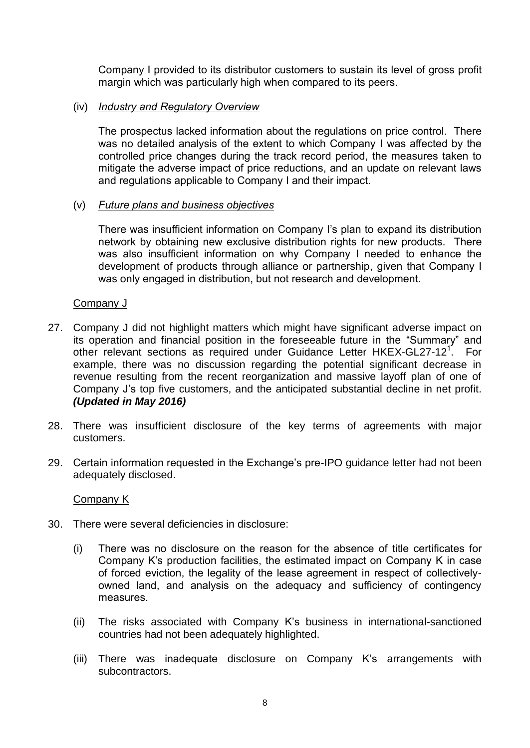Company I provided to its distributor customers to sustain its level of gross profit margin which was particularly high when compared to its peers.

### (iv) *Industry and Regulatory Overview*

The prospectus lacked information about the regulations on price control. There was no detailed analysis of the extent to which Company I was affected by the controlled price changes during the track record period, the measures taken to mitigate the adverse impact of price reductions, and an update on relevant laws and regulations applicable to Company I and their impact.

### (v) *Future plans and business objectives*

There was insufficient information on Company I's plan to expand its distribution network by obtaining new exclusive distribution rights for new products. There was also insufficient information on why Company I needed to enhance the development of products through alliance or partnership, given that Company I was only engaged in distribution, but not research and development.

### Company J

- 27. Company J did not highlight matters which might have significant adverse impact on its operation and financial position in the foreseeable future in the "Summary" and other relevant sections as required under Guidance Letter HKEX-GL27-12<sup>1</sup>. For example, there was no discussion regarding the potential significant decrease in revenue resulting from the recent reorganization and massive layoff plan of one of Company J's top five customers, and the anticipated substantial decline in net profit. *(Updated in May 2016)*
- 28. There was insufficient disclosure of the key terms of agreements with major customers.
- 29. Certain information requested in the Exchange's pre-IPO guidance letter had not been adequately disclosed.

### Company K

- 30. There were several deficiencies in disclosure:
	- (i) There was no disclosure on the reason for the absence of title certificates for Company K's production facilities, the estimated impact on Company K in case of forced eviction, the legality of the lease agreement in respect of collectivelyowned land, and analysis on the adequacy and sufficiency of contingency measures.
	- (ii) The risks associated with Company K's business in international-sanctioned countries had not been adequately highlighted.
	- (iii) There was inadequate disclosure on Company K's arrangements with subcontractors.